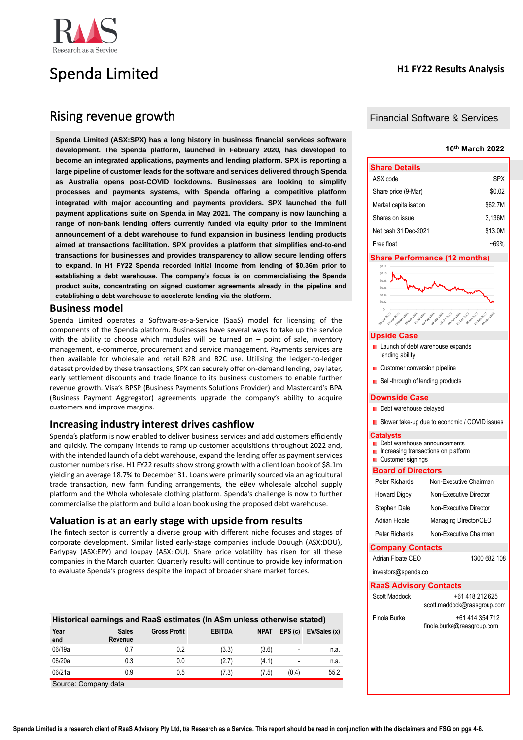

# Spenda Limited

# Rising revenue growth

**Spenda Limited (ASX:SPX) has a long history in business financial services software development. The Spenda platform, launched in February 2020, has developed to become an integrated applications, payments and lending platform. SPX is reporting a large pipeline of customer leads for the software and services delivered through Spenda as Australia opens post-COVID lockdowns. Businesses are looking to simplify processes and payments systems, with Spenda offering a competitive platform integrated with major accounting and payments providers. SPX launched the full payment applications suite on Spenda in May 2021. The company is now launching a range of non-bank lending offers currently funded via equity prior to the imminent announcement of a debt warehouse to fund expansion in business lending products aimed at transactions facilitation. SPX provides a platform that simplifies end-to-end transactions for businesses and provides transparency to allow secure lending offers to expand. In H1 FY22 Spenda recorded initial income from lending of \$0.36m prior to establishing a debt warehouse. The company's focus is on commercialising the Spenda product suite, concentrating on signed customer agreements already in the pipeline and establishing a debt warehouse to accelerate lending via the platform.**

# **Business model**

Spenda Limited operates a Software-as-a-Service (SaaS) model for licensing of the components of the Spenda platform. Businesses have several ways to take up the service with the ability to choose which modules will be turned on  $-$  point of sale, inventory management, e-commerce, procurement and service management. Payments services are then available for wholesale and retail B2B and B2C use. Utilising the ledger-to-ledger dataset provided by these transactions, SPX can securely offer on-demand lending, pay later, early settlement discounts and trade finance to its business customers to enable further revenue growth. Visa's BPSP (Business Payments Solutions Provider) and Mastercard's BPA (Business Payment Aggregator) agreements upgrade the company's ability to acquire customers and improve margins.

# **Increasing industry interest drives cashflow**

Spenda's platform is now enabled to deliver business services and add customers efficiently and quickly. The company intends to ramp up customer acquisitions throughout 2022 and, with the intended launch of a debt warehouse, expand the lending offer as payment services customer numbers rise. H1 FY22 results show strong growth with a client loan book of \$8.1m yielding an average 18.7% to December 31. Loans were primarily sourced via an agricultural trade transaction, new farm funding arrangements, the eBev wholesale alcohol supply platform and the Whola wholesale clothing platform. Spenda's challenge is now to further commercialise the platform and build a loan book using the proposed debt warehouse.

# **Valuation is at an early stage with upside from results**

The fintech sector is currently a diverse group with different niche focuses and stages of corporate development. Similar listed early-stage companies include Douugh (ASX:DOU), Earlypay (ASX:EPY) and Ioupay (ASX:IOU). Share price volatility has risen for all these companies in the March quarter. Quarterly results will continue to provide key information to evaluate Spenda's progress despite the impact of broader share market forces.

| Historical earnings and RaaS estimates (In A\$m unless otherwise stated) |                         |                     |               |             |                          |              |  |
|--------------------------------------------------------------------------|-------------------------|---------------------|---------------|-------------|--------------------------|--------------|--|
| Year<br>end                                                              | <b>Sales</b><br>Revenue | <b>Gross Profit</b> | <b>EBITDA</b> | <b>NPAT</b> | EPS(c)                   | EV/Sales (x) |  |
| 06/19a                                                                   | 0.7                     | 0.2                 | (3.3)         | (3.6)       |                          | n.a.         |  |
| 06/20a                                                                   | 0.3                     | 0.0                 | (2.7)         | (4.1)       | $\overline{\phantom{a}}$ | n.a.         |  |
| 06/21a                                                                   | 0.9                     | 0.5                 | (7.3)         | (7.5)       | (0.4)                    | 55.2         |  |

Source: Company data

# **H1 FY22 Results Analysis**

# Financial Software & Services

# **10th March 2022**

| <b>Share Details</b>  |         |
|-----------------------|---------|
| ASX code              | SPX     |
| Share price (9-Mar)   | \$0.02  |
| Market capitalisation | \$62.7M |
| Shares on issue       | 3.136M  |
| Net cash 31 Dec-2021  | \$13.0M |
| Free float            | ~69%    |

## **Share Performance (12 months)**



### **Upside Case**

- **Launch of debt warehouse expands** lending ability
- **Customer conversion pipeline**
- Sell-through of lending products

#### **Downside Case**

- Debt warehouse delayed
- **Slower take-up due to economic / COVID issues**

#### **Catalysts**

- **Debt warehouse announcements**
- **Increasing transactions on platform**
- **Customer signings**

### **Board of Directors**

| Peter Richards                | Non-Executive Chairman |
|-------------------------------|------------------------|
| Howard Digby                  | Non-Executive Director |
| Stephen Dale                  | Non-Executive Director |
| Adrian Floate                 | Managing Director/CEO  |
| Peter Richards                | Non-Executive Chairman |
| <b>Company Contacts</b>       |                        |
| Adrian Floate CFO             | 1300 682 108           |
| investors@spenda.co           |                        |
| <b>RaaS Advisory Contacts</b> |                        |
| Scott Maddock                 | +61 418 212 625        |

| Scott Maddock | +61 418 212 625             |
|---------------|-----------------------------|
|               | scott.maddock@raasgroup.com |
| Finola Burke  | +61 414 354 712             |
|               | finola.burke@raasgroup.com  |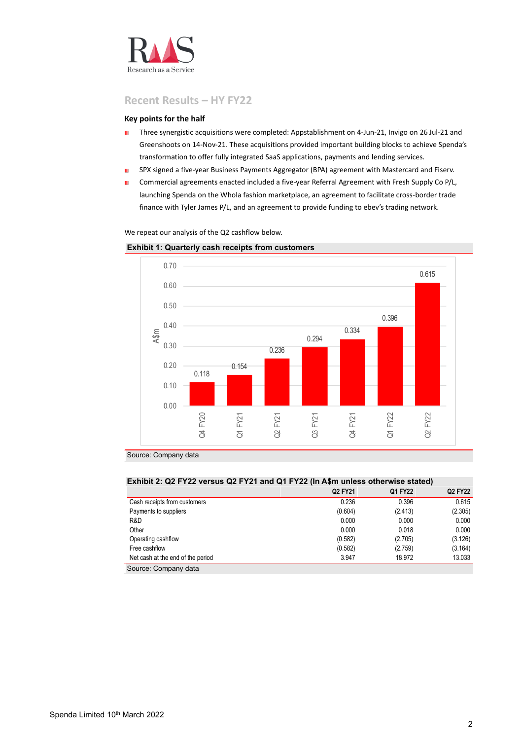

# **Recent Results – HY FY22**

# **Key points for the half**

- ×. Three synergistic acquisitions were completed: Appstablishment on 4-Jun-21, Invigo on 26- Jul-21 and Greenshoots on 14-Nov-21. These acquisitions provided important building blocks to achieve Spenda's transformation to offer fully integrated SaaS applications, payments and lending services.
- SPX signed a five-year Business Payments Aggregator (BPA) agreement with Mastercard and Fiserv. r.
- Commercial agreements enacted included a five-year Referral Agreement with Fresh Supply Co P/L, × launching Spenda on the Whola fashion marketplace, an agreement to facilitate cross-border trade finance with Tyler James P/L, and an agreement to provide funding to ebev's trading network.

We repeat our analysis of the Q2 cashflow below.

# **Exhibit 1: Quarterly cash receipts from customers**



Source: Company data

| Exhibit 2: Q2 FY22 versus Q2 FY21 and Q1 FY22 (In A\$m unless otherwise stated) |         |         |         |  |  |  |
|---------------------------------------------------------------------------------|---------|---------|---------|--|--|--|
|                                                                                 | Q2 FY21 | Q1 FY22 | Q2 FY22 |  |  |  |
| Cash receipts from customers                                                    | 0.236   | 0.396   | 0.615   |  |  |  |
| Payments to suppliers                                                           | (0.604) | (2.413) | (2.305) |  |  |  |
| R&D                                                                             | 0.000   | 0.000   | 0.000   |  |  |  |
| Other                                                                           | 0.000   | 0.018   | 0.000   |  |  |  |
| Operating cashflow                                                              | (0.582) | (2.705) | (3.126) |  |  |  |
| Free cashflow                                                                   | (0.582) | (2.759) | (3.164) |  |  |  |
| Net cash at the end of the period                                               | 3.947   | 18.972  | 13.033  |  |  |  |
| Source: Company data                                                            |         |         |         |  |  |  |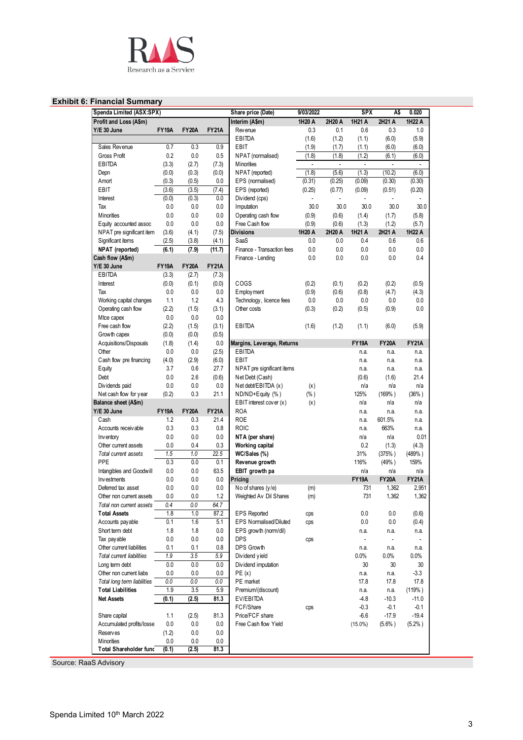

# **Exhibit 6: Financial Summary**

| Spenda Limited (ASX:SPX)      |              |              |              | Share price (Date)            | 9/03/2022                |                          | <b>SPX</b>   | A\$          | 0.020        |
|-------------------------------|--------------|--------------|--------------|-------------------------------|--------------------------|--------------------------|--------------|--------------|--------------|
| Profit and Loss (A\$m)        |              |              |              | Interim (A\$m)                | 1H20 A                   | 2H20 A                   | 1H21 A       | 2H21 A       | 1H22 A       |
| Y/E 30 June                   | <b>FY19A</b> | <b>FY20A</b> | <b>FY21A</b> | Rev enue                      | 0.3                      | 0.1                      | 0.6          | 0.3          | 1.0          |
|                               |              |              |              | <b>EBITDA</b>                 | (1.6)                    | (1.2)                    | (1.1)        | (6.0)        | (5.9)        |
| Sales Revenue                 | 0.7          | 0.3          | 0.9          | EBIT                          | (1.9)                    | (1.7)                    | (1.1)        | (6.0)        | (6.0)        |
| Gross Profit                  | 0.2          | 0.0          | 0.5          | NPAT (normalised)             | (1.8)                    | (1.8)                    | (1.2)        | (6.1)        | (6.0)        |
| EBITDA                        | (3.3)        | (2.7)        | (7.3)        | <b>M</b> inorities            | $\overline{\phantom{a}}$ | $\overline{\phantom{a}}$ | $\sim$       | $\mathbf{r}$ | $\mathbf{r}$ |
| Depn                          | (0.0)        | (0.3)        | (0.0)        | NPAT (reported)               | (1.8)                    | (5.6)                    | (1.3)        | (10.2)       | (6.0)        |
| Amort                         | (0.3)        | (0.5)        | 0.0          | EPS (normalised)              | (0.31)                   | (0.25)                   | (0.09)       | (0.30)       | (0.30)       |
| EBIT                          | (3.6)        | (3.5)        | (7.4)        | EPS (reported)                | (0.25)                   | (0.77)                   | (0.09)       | (0.51)       | (0.20)       |
| Interest                      | (0.0)        | (0.3)        | 0.0          | Dividend (cps)                |                          |                          |              |              |              |
| Tax                           | 0.0          | 0.0          | 0.0          | Imputation                    | 30.0                     | 30.0                     | 30.0         | 30.0         | 30.0         |
| <b>Minorities</b>             | 0.0          | 0.0          | 0.0          | Operating cash flow           | (0.9)                    | (0.6)                    | (1.4)        | (1.7)        | (5.8)        |
| Equity accounted assoc        | 0.0          | 0.0          | 0.0          | Free Cash flow                | (0.9)                    | (0.6)                    | (1.3)        | (1.2)        | (5.7)        |
| NPAT pre significant item     | (3.6)        | (4.1)        | (7.5)        | <b>Divisions</b>              | 1H20 A                   | 2H20 A                   | 1H21 A       | 2H21 A       | 1H22 A       |
| Significant items             | (2.5)        | (3.8)        | (4.1)        | SaaS                          | 0.0                      | 0.0                      | 0.4          | 0.6          | 0.6          |
| NPAT (reported)               | (6.1)        | (7.9)        | (11.7)       | Finance - Transaction fees    | 0.0                      | 0.0                      | 0.0          | 0.0          | 0.0          |
| Cash flow (A\$m)              |              |              |              | Finance - Lending             | 0.0                      | 0.0                      | 0.0          | 0.0          | 0.4          |
| Y/E 30 June                   | <b>FY19A</b> | <b>FY20A</b> | <b>FY21A</b> |                               |                          |                          |              |              |              |
| EBITDA                        | (3.3)        | (2.7)        | (7.3)        |                               |                          |                          |              |              |              |
| Interest                      | (0.0)        | (0.1)        | (0.0)        | COGS                          | (0.2)                    | (0.1)                    | (0.2)        | (0.2)        | (0.5)        |
| Tax                           | 0.0          | 0.0          | 0.0          | Employ ment                   | (0.9)                    | (0.6)                    | (0.8)        | (4.7)        | (4.3)        |
| Working capital changes       | 1.1          | 1.2          | 4.3          | Technology, licence fees      | 0.0                      | 0.0                      | 0.0          | 0.0          | 0.0          |
| Operating cash flow           | (2.2)        | (1.5)        | (3.1)        | Other costs                   | (0.3)                    | (0.2)                    | (0.5)        | (0.9)        | 0.0          |
| Mtce capex                    | 0.0          | 0.0          | 0.0          |                               |                          |                          |              |              |              |
| Free cash flow                | (2.2)        | (1.5)        | (3.1)        | EBITDA                        | (1.6)                    | (1.2)                    | (1.1)        | (6.0)        | (5.9)        |
| Growth capex                  | (0.0)        | (0.0)        | (0.5)        |                               |                          |                          |              |              |              |
| Acquisitions/Disposals        | (1.8)        | (1.4)        | 0.0          | Margins, Leverage, Returns    |                          |                          | <b>FY19A</b> | <b>FY20A</b> | <b>FY21A</b> |
| Other                         | 0.0          | 0.0          | (2.5)        | <b>EBITDA</b>                 |                          |                          | n.a.         | n.a.         | n.a.         |
| Cash flow pre financing       | (4.0)        | (2.9)        | (6.0)        | <b>EBIT</b>                   |                          |                          | n.a.         | n.a.         | n.a.         |
| Equity                        | 3.7          | 0.6          | 27.7         | NPAT pre significant items    |                          |                          | n.a.         | n.a.         | n.a.         |
| Debt                          | 0.0          | 2.6          | (0.6)        | Net Debt (Cash)               |                          |                          | (0.6)        | (1.6)        | 21.4         |
| Dividends paid                | 0.0          | 0.0          | 0.0          | Net debt/EBITDA (x)           | (x)                      |                          | n/a          | n/a          | n/a          |
| Net cash flow for year        | (0.2)        | 0.3          | 21.1         | $ND/ND + Equity (%)$          | $(\% )$                  |                          | 125%         | (169% )      | $(36\%)$     |
| Balance sheet (A\$m)          |              |              |              | EBIT interest cover (x)       | (x)                      |                          | n/a          | n/a          | n/a          |
| Y/E 30 June                   | <b>FY19A</b> | <b>FY20A</b> | <b>FY21A</b> | <b>ROA</b>                    |                          |                          | n.a.         | n.a.         | n.a.         |
| Cash                          | 1.2          | 0.3          | 21.4         | <b>ROE</b>                    |                          |                          | n.a.         | 601.5%       | n.a.         |
| Accounts receivable           | 0.3          | 0.3          | 0.8          | <b>ROIC</b>                   |                          |                          | n.a.         | 663%         | n.a.         |
| Inventory                     | 0.0          | 0.0          | 0.0          | NTA (per share)               |                          |                          | n/a          | n/a          | 0.01         |
| Other current assets          | 0.0          | 0.4          | 0.3          | Working capital               |                          |                          | 0.2          | (1.3)        | (4.3)        |
| Total current assets          | 1.5          | 1.0          | 22.5         | WC/Sales (%)                  |                          |                          | 31%          | (375%)       | (489% )      |
| PPE                           | 0.3          | 0.0          | 0.1          | Revenue growth                |                          |                          | 116%         | (49% )       | 159%         |
| Intangibles and Goodwill      | 0.0          | 0.0          | 63.5         | EBIT growth pa                |                          |                          | n/a          | n/a          | n/a          |
| Investments                   | 0.0          | 0.0          | 0.0          | Pricing                       |                          |                          | <b>FY19A</b> | <b>FY20A</b> | <b>FY21A</b> |
| Deferred tax asset            | 0.0          | 0.0          | 0.0          | No of shares $(y/e)$          | (m)                      |                          | 731          | 1,362        | 2,951        |
| Other non current assets      | 0.0          | 0.0          | 1.2          | Weighted Av Dil Shares        | (m)                      |                          | 731          | 1,362        | 1,362        |
| Total non current assets      | 0.4          | 0.0          | 64.7         |                               |                          |                          |              |              |              |
| <b>Total Assets</b>           | 1.8          | 1.0          | 87.2         | <b>EPS Reported</b>           | cps                      |                          | 0.0          | 0.0          | (0.6)        |
| Accounts pay able             | 0.1          | 1.6          | 5.1          | <b>EPS Normalised/Diluted</b> | cps                      |                          | 0.0          | 0.0          | (0.4)        |
| Short term debt               | 1.8          | 1.8          | 0.0          | EPS growth (norm/dil)         |                          |                          | n.a.         | n.a.         | n.a.         |
| Tax payable                   | 0.0          | 0.0          | 0.0          | <b>DPS</b>                    | cps                      |                          | ÷.           | $\mathbf{r}$ |              |
| Other current liabilities     | 0.1          | 0.1          | 0.8          | DPS Growth                    |                          |                          | n.a.         | n.a.         | n.a.         |
| Total current liabilities     | 1.9          | 3.5          | 5.9          | Dividend yield                |                          |                          | 0.0%         | $0.0\%$      | $0.0\%$      |
| Long term debt                | 0.0          | 0.0          | 0.0          | Dividend imputation           |                          |                          | 30           | 30           | 30           |
| Other non current liabs       | 0.0          | 0.0          | 0.0          | PE(x)                         |                          |                          | n.a.         | n.a.         | $-3.3$       |
| Total long term liabilities   | 0.0          | 0.0          | 0.0          | PE market                     |                          |                          | 17.8         | 17.8         | 17.8         |
| <b>Total Liabilities</b>      | 1.9          | 3.5          | 5.9          | Premium/(discount)            |                          |                          | n.a.         | n.a.         | (119% )      |
| <b>Net Assets</b>             | (0.1)        | (2.5)        | 81.3         | EV/EBITDA                     |                          |                          | $-4.8$       | $-10.3$      | $-11.0$      |
|                               |              |              |              | FCF/Share                     | cps                      |                          | $-0.3$       | -0.1         | -0.1         |
| Share capital                 | 1.1          | (2.5)        | 81.3         | Price/FCF share               |                          |                          | $-6.6$       | $-17.9$      | $-19.4$      |
| Accumulated profits/losse     | 0.0          | 0.0          | 0.0          | Free Cash flow Yield          |                          |                          | $(15.0\%)$   | $(5.6\%)$    | $(5.2\%)$    |
| <b>Reserves</b>               | (1.2)        | 0.0          | 0.0          |                               |                          |                          |              |              |              |
| <b>Minorities</b>             | 0.0          | 0.0          | 0.0          |                               |                          |                          |              |              |              |
| <b>Total Shareholder func</b> | (0.1)        | (2.5)        | 81.3         |                               |                          |                          |              |              |              |

Source: RaaS Advisory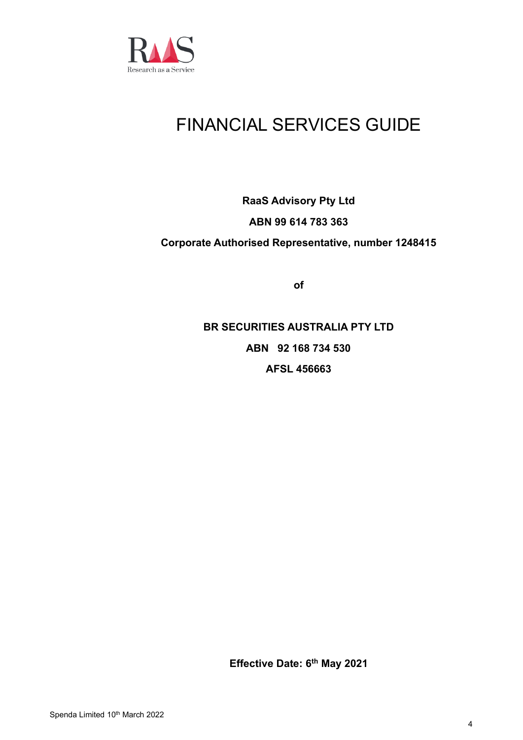

# FINANCIAL SERVICES GUIDE

# **RaaS Advisory Pty Ltd ABN 99 614 783 363 Corporate Authorised Representative, number 1248415**

**of**

**BR SECURITIES AUSTRALIA PTY LTD ABN 92 168 734 530 AFSL 456663**

**Effective Date: 6 th May 2021**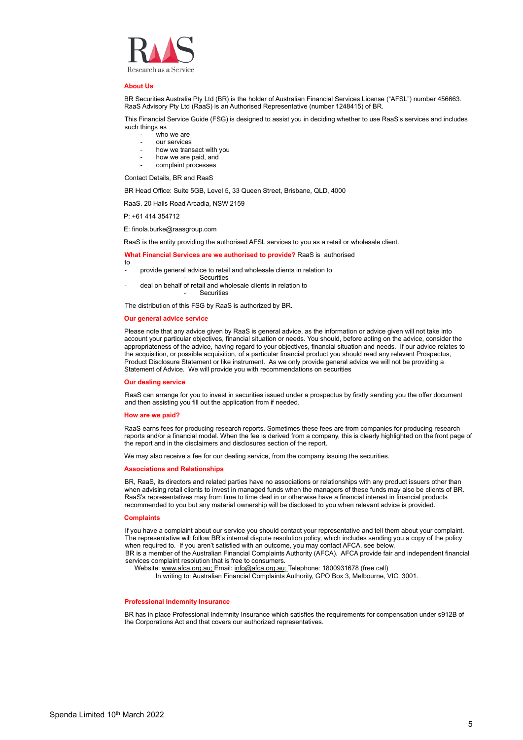

#### **About Us**

BR Securities Australia Pty Ltd (BR) is the holder of Australian Financial Services License ("AFSL") number 456663. RaaS Advisory Pty Ltd (RaaS) is an Authorised Representative (number 1248415) of BR.

This Financial Service Guide (FSG) is designed to assist you in deciding whether to use RaaS's services and includes such things as

- who we are
- our services
- how we transact with you
- how we are paid, and
- complaint processes

Contact Details, BR and RaaS

BR Head Office: Suite 5GB, Level 5, 33 Queen Street, Brisbane, QLD, 4000

RaaS. 20 Halls Road Arcadia, NSW 2159

P: +61 414 354712

E: finola.burke@raasgroup.com

RaaS is the entity providing the authorised AFSL services to you as a retail or wholesale client.

### **What Financial Services are we authorised to provide?** RaaS is authorised

- to provide general advice to retail and wholesale clients in relation to
- **Securities**
- deal on behalf of retail and wholesale clients in relation to **Securities**

The distribution of this FSG by RaaS is authorized by BR.

#### **Our general advice service**

Please note that any advice given by RaaS is general advice, as the information or advice given will not take into account your particular objectives, financial situation or needs. You should, before acting on the advice, consider the appropriateness of the advice, having regard to your objectives, financial situation and needs. If our advice relates to the acquisition, or possible acquisition, of a particular financial product you should read any relevant Prospectus, Product Disclosure Statement or like instrument. As we only provide general advice we will not be providing a Statement of Advice. We will provide you with recommendations on securities

#### **Our dealing service**

RaaS can arrange for you to invest in securities issued under a prospectus by firstly sending you the offer document and then assisting you fill out the application from if needed.

#### **How are we paid?**

RaaS earns fees for producing research reports. Sometimes these fees are from companies for producing research reports and/or a financial model. When the fee is derived from a company, this is clearly highlighted on the front page of the report and in the disclaimers and disclosures section of the report.

We may also receive a fee for our dealing service, from the company issuing the securities.

#### **Associations and Relationships**

BR, RaaS, its directors and related parties have no associations or relationships with any product issuers other than when advising retail clients to invest in managed funds when the managers of these funds may also be clients of BR. RaaS's representatives may from time to time deal in or otherwise have a financial interest in financial products recommended to you but any material ownership will be disclosed to you when relevant advice is provided.

#### **Complaints**

If you have a complaint about our service you should contact your representative and tell them about your complaint. The representative will follow BR's internal dispute resolution policy, which includes sending you a copy of the policy when required to. If you aren't satisfied with an outcome, you may contact AFCA, see below. BR is a member of the Australian Financial Complaints Authority (AFCA). AFCA provide fair and independent financial services complaint resolution that is free to consumers.

Website[: www.afca.org.au;](http://www.afca.org.au/) Email: [info@afca.org.au;](mailto:info@afca.org.au) Telephone: 1800931678 (free call)

In writing to: Australian Financial Complaints Authority, GPO Box 3, Melbourne, VIC, 3001.

#### **Professional Indemnity Insurance**

BR has in place Professional Indemnity Insurance which satisfies the requirements for compensation under s912B of the Corporations Act and that covers our authorized representatives.